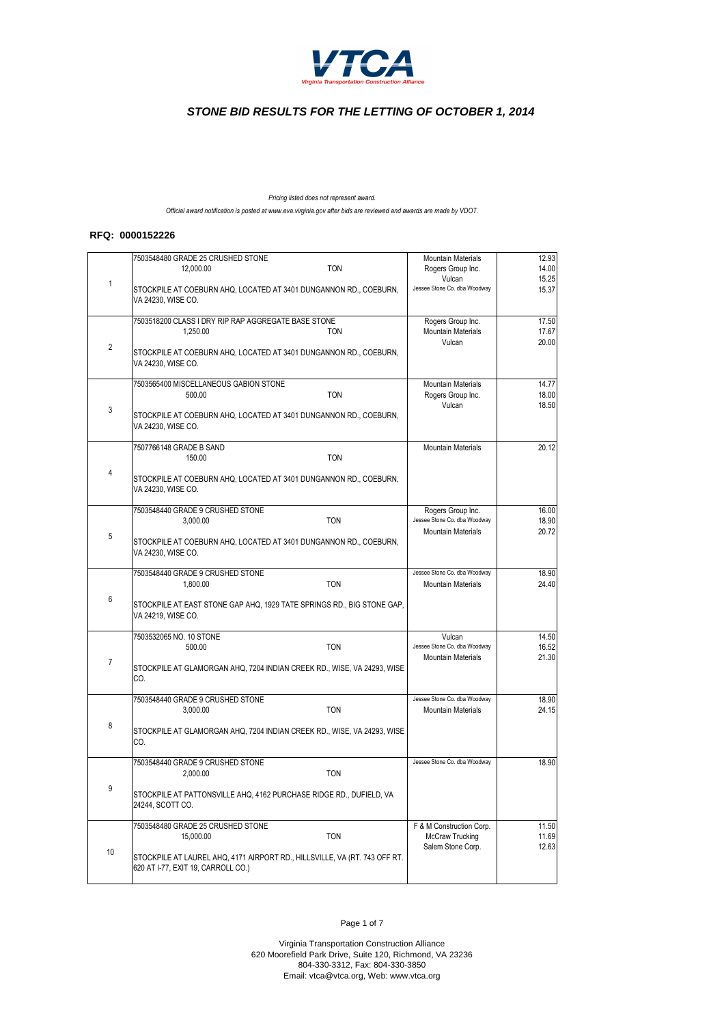

*Pricing listed does not represent award. Official award notification is posted at www.eva.virginia.gov after bids are reviewed and awards are made by VDOT.*

#### **RFQ: 0000152226**

|                         | 7503548480 GRADE 25 CRUSHED STONE<br><b>TON</b><br>12,000.00                                                     | <b>Mountain Materials</b><br>Rogers Group Inc. | 12.93<br>14.00 |
|-------------------------|------------------------------------------------------------------------------------------------------------------|------------------------------------------------|----------------|
| $\mathbf{1}$            | STOCKPILE AT COEBURN AHQ, LOCATED AT 3401 DUNGANNON RD., COEBURN,<br>VA 24230, WISE CO.                          | Vulcan<br>Jessee Stone Co. dba Woodway         | 15.25<br>15.37 |
|                         | 7503518200 CLASS I DRY RIP RAP AGGREGATE BASE STONE                                                              | Rogers Group Inc.                              | 17.50          |
|                         | 1.250.00<br><b>TON</b>                                                                                           | <b>Mountain Materials</b>                      | 17.67          |
| $\overline{2}$          | STOCKPILE AT COEBURN AHQ, LOCATED AT 3401 DUNGANNON RD., COEBURN,<br>VA 24230, WISE CO.                          | Vulcan                                         | 20.00          |
|                         | 7503565400 MISCELLANEOUS GABION STONE                                                                            | <b>Mountain Materials</b>                      | 14.77          |
|                         | <b>TON</b><br>500.00                                                                                             | Rogers Group Inc.                              | 18.00          |
| 3                       |                                                                                                                  | Vulcan                                         | 18.50          |
|                         | STOCKPILE AT COEBURN AHQ, LOCATED AT 3401 DUNGANNON RD., COEBURN,<br>VA 24230, WISE CO.                          |                                                |                |
|                         | 7507766148 GRADE B SAND                                                                                          | <b>Mountain Materials</b>                      | 20.12          |
|                         | 150.00<br><b>TON</b>                                                                                             |                                                |                |
| $\overline{\mathbf{4}}$ | STOCKPILE AT COEBURN AHQ, LOCATED AT 3401 DUNGANNON RD., COEBURN,<br>VA 24230, WISE CO.                          |                                                |                |
|                         | 7503548440 GRADE 9 CRUSHED STONE                                                                                 | Rogers Group Inc.                              | 16.00          |
|                         | 3,000.00<br><b>TON</b>                                                                                           | Jessee Stone Co. dba Woodway                   | 18.90          |
| 5                       |                                                                                                                  | <b>Mountain Materials</b>                      | 20.72          |
|                         | STOCKPILE AT COEBURN AHQ, LOCATED AT 3401 DUNGANNON RD., COEBURN,<br>VA 24230, WISE CO.                          |                                                |                |
|                         | 7503548440 GRADE 9 CRUSHED STONE                                                                                 | Jessee Stone Co. dba Woodway                   | 18.90          |
|                         | 1,800.00<br><b>TON</b>                                                                                           | <b>Mountain Materials</b>                      | 24.40          |
| 6                       | STOCKPILE AT EAST STONE GAP AHQ, 1929 TATE SPRINGS RD., BIG STONE GAP,<br>VA 24219, WISE CO.                     |                                                |                |
|                         | 7503532065 NO. 10 STONE                                                                                          | Vulcan                                         | 14.50          |
|                         | 500.00<br><b>TON</b>                                                                                             | Jessee Stone Co. dba Woodway                   | 16.52          |
| $\overline{7}$          |                                                                                                                  | <b>Mountain Materials</b>                      | 21.30          |
|                         | STOCKPILE AT GLAMORGAN AHQ, 7204 INDIAN CREEK RD., WISE, VA 24293, WISE<br>CO.                                   |                                                |                |
|                         | 7503548440 GRADE 9 CRUSHED STONE                                                                                 | Jessee Stone Co. dba Woodway                   | 18.90          |
|                         | <b>TON</b><br>3.000.00                                                                                           | <b>Mountain Materials</b>                      | 24.15          |
| 8                       | STOCKPILE AT GLAMORGAN AHQ, 7204 INDIAN CREEK RD., WISE, VA 24293, WISE<br>CO.                                   |                                                |                |
|                         | 7503548440 GRADE 9 CRUSHED STONE                                                                                 | Jessee Stone Co. dba Woodway                   | 18.90          |
|                         | <b>TON</b><br>2,000.00                                                                                           |                                                |                |
| 9                       | STOCKPILE AT PATTONSVILLE AHQ, 4162 PURCHASE RIDGE RD., DUFIELD, VA<br>24244, SCOTT CO.                          |                                                |                |
|                         |                                                                                                                  |                                                |                |
|                         | 7503548480 GRADE 25 CRUSHED STONE<br>15,000.00<br><b>TON</b>                                                     | F & M Construction Corp.<br>McCraw Trucking    | 11.50<br>11.69 |
|                         |                                                                                                                  | Salem Stone Corp.                              | 12.63          |
| 10                      | STOCKPILE AT LAUREL AHQ, 4171 AIRPORT RD., HILLSVILLE, VA (RT. 743 OFF RT.<br>620 AT I-77, EXIT 19, CARROLL CO.) |                                                |                |

Page 1 of 7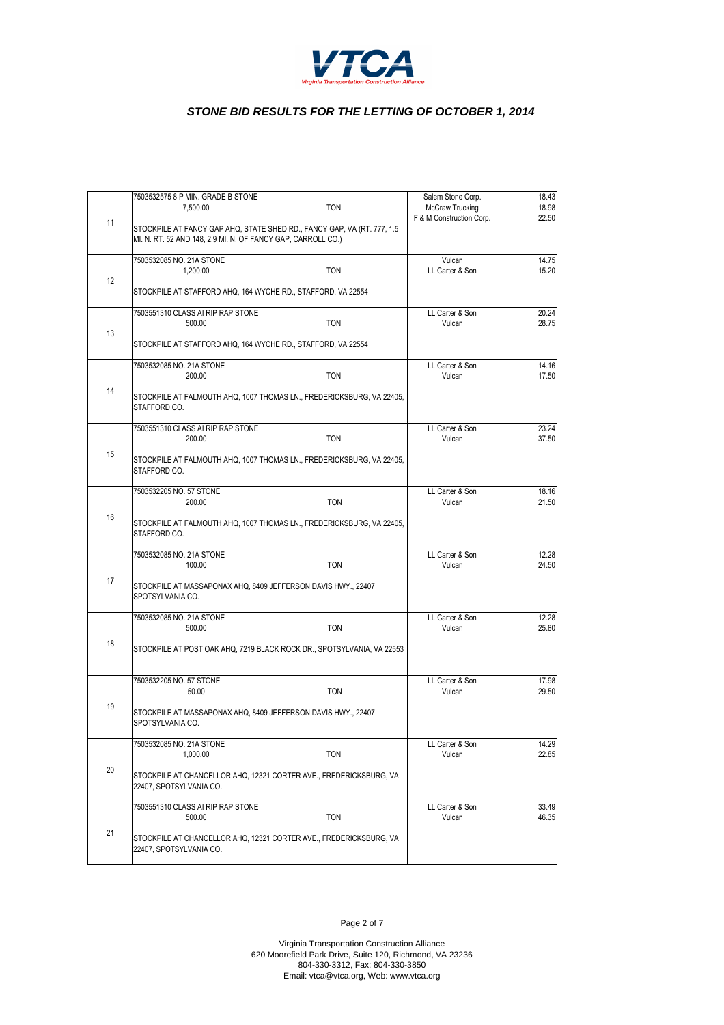

|    | 7503532575 8 P MIN. GRADE B STONE                                                                                                        | Salem Stone Corp.        | 18.43 |
|----|------------------------------------------------------------------------------------------------------------------------------------------|--------------------------|-------|
|    | <b>TON</b><br>7,500.00                                                                                                                   | McCraw Trucking          | 18.98 |
| 11 | STOCKPILE AT FANCY GAP AHQ, STATE SHED RD., FANCY GAP, VA (RT. 777, 1.5)<br>MI. N. RT. 52 AND 148, 2.9 MI. N. OF FANCY GAP, CARROLL CO.) | F & M Construction Corp. | 22.50 |
|    | 7503532085 NO. 21A STONE                                                                                                                 | Vulcan                   | 14.75 |
|    | 1,200.00<br><b>TON</b>                                                                                                                   | LL Carter & Son          | 15.20 |
| 12 | STOCKPILE AT STAFFORD AHQ, 164 WYCHE RD., STAFFORD, VA 22554                                                                             |                          |       |
|    | 7503551310 CLASS AI RIP RAP STONE                                                                                                        | LL Carter & Son          | 20.24 |
|    | <b>TON</b><br>500.00                                                                                                                     | Vulcan                   | 28.75 |
| 13 | STOCKPILE AT STAFFORD AHQ, 164 WYCHE RD., STAFFORD, VA 22554                                                                             |                          |       |
|    | 7503532085 NO. 21A STONE                                                                                                                 | LL Carter & Son          | 14.16 |
|    | <b>TON</b><br>200.00                                                                                                                     | Vulcan                   | 17.50 |
| 14 | STOCKPILE AT FALMOUTH AHQ, 1007 THOMAS LN., FREDERICKSBURG, VA 22405,<br>STAFFORD CO.                                                    |                          |       |
|    | 7503551310 CLASS AI RIP RAP STONE                                                                                                        | LL Carter & Son          | 23.24 |
|    | <b>TON</b><br>200.00                                                                                                                     | Vulcan                   | 37.50 |
| 15 | STOCKPILE AT FALMOUTH AHQ, 1007 THOMAS LN., FREDERICKSBURG, VA 22405,<br>STAFFORD CO.                                                    |                          |       |
|    | 7503532205 NO. 57 STONE                                                                                                                  | LL Carter & Son          | 18.16 |
|    | 200.00<br><b>TON</b>                                                                                                                     | Vulcan                   | 21.50 |
| 16 | STOCKPILE AT FALMOUTH AHQ, 1007 THOMAS LN., FREDERICKSBURG, VA 22405,<br>STAFFORD CO.                                                    |                          |       |
|    | 7503532085 NO. 21A STONE                                                                                                                 | LL Carter & Son          | 12.28 |
|    | 100.00<br><b>TON</b>                                                                                                                     | Vulcan                   | 24.50 |
| 17 | STOCKPILE AT MASSAPONAX AHQ, 8409 JEFFERSON DAVIS HWY., 22407<br>SPOTSYLVANIA CO.                                                        |                          |       |
|    | 7503532085 NO. 21A STONE                                                                                                                 | LL Carter & Son          | 12.28 |
|    | 500.00<br><b>TON</b>                                                                                                                     | Vulcan                   | 25.80 |
| 18 | STOCKPILE AT POST OAK AHQ, 7219 BLACK ROCK DR., SPOTSYLVANIA, VA 22553                                                                   |                          |       |
|    | 7503532205 NO. 57 STONE                                                                                                                  | LL Carter & Son          | 17.98 |
|    | <b>TON</b><br>50.00                                                                                                                      | Vulcan                   | 29.50 |
| 19 | STOCKPILE AT MASSAPONAX AHQ, 8409 JEFFERSON DAVIS HWY., 22407<br>SPOTSYLVANIA CO.                                                        |                          |       |
|    | 7503532085 NO. 21A STONE                                                                                                                 | LL Carter & Son          | 14.29 |
| 20 | 1,000.00<br><b>TON</b>                                                                                                                   | Vulcan                   | 22.85 |
|    | STOCKPILE AT CHANCELLOR AHQ, 12321 CORTER AVE., FREDERICKSBURG, VA<br>22407, SPOTSYLVANIA CO.                                            |                          |       |
|    | 7503551310 CLASS AI RIP RAP STONE                                                                                                        | LL Carter & Son          | 33.49 |
|    | <b>TON</b><br>500.00                                                                                                                     | Vulcan                   | 46.35 |
| 21 | STOCKPILE AT CHANCELLOR AHQ, 12321 CORTER AVE., FREDERICKSBURG, VA<br>22407, SPOTSYLVANIA CO.                                            |                          |       |
|    |                                                                                                                                          |                          |       |

Page 2 of 7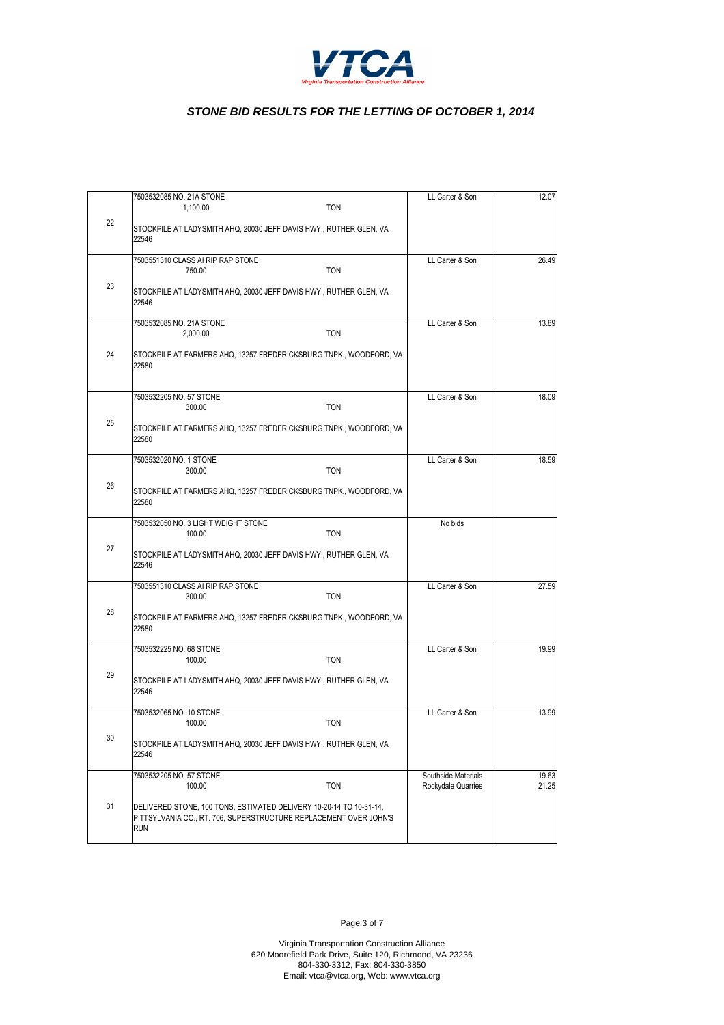

|    | 7503532085 NO. 21A STONE                                                                                                                        | LL Carter & Son                           | 12.07          |
|----|-------------------------------------------------------------------------------------------------------------------------------------------------|-------------------------------------------|----------------|
|    | <b>TON</b><br>1,100.00                                                                                                                          |                                           |                |
| 22 | STOCKPILE AT LADYSMITH AHQ, 20030 JEFF DAVIS HWY., RUTHER GLEN, VA<br>22546                                                                     |                                           |                |
|    | 7503551310 CLASS AI RIP RAP STONE                                                                                                               | LL Carter & Son                           | 26.49          |
|    | 750.00<br><b>TON</b>                                                                                                                            |                                           |                |
| 23 | STOCKPILE AT LADYSMITH AHQ, 20030 JEFF DAVIS HWY., RUTHER GLEN, VA<br>22546                                                                     |                                           |                |
|    | 7503532085 NO. 21A STONE                                                                                                                        | LL Carter & Son                           | 13.89          |
|    | <b>TON</b><br>2,000.00                                                                                                                          |                                           |                |
| 24 | STOCKPILE AT FARMERS AHQ, 13257 FREDERICKSBURG TNPK., WOODFORD, VA<br>22580                                                                     |                                           |                |
|    | 7503532205 NO. 57 STONE<br>300.00<br><b>TON</b>                                                                                                 | LL Carter & Son                           | 18.09          |
| 25 |                                                                                                                                                 |                                           |                |
|    | STOCKPILE AT FARMERS AHQ, 13257 FREDERICKSBURG TNPK., WOODFORD, VA<br>22580                                                                     |                                           |                |
|    | 7503532020 NO. 1 STONE<br>300.00<br><b>TON</b>                                                                                                  | LL Carter & Son                           | 18.59          |
| 26 | STOCKPILE AT FARMERS AHQ, 13257 FREDERICKSBURG TNPK., WOODFORD, VA<br>22580                                                                     |                                           |                |
|    | 7503532050 NO. 3 LIGHT WEIGHT STONE                                                                                                             | No bids                                   |                |
|    | 100.00<br><b>TON</b>                                                                                                                            |                                           |                |
| 27 | STOCKPILE AT LADYSMITH AHQ, 20030 JEFF DAVIS HWY., RUTHER GLEN, VA<br>22546                                                                     |                                           |                |
|    | 7503551310 CLASS AI RIP RAP STONE                                                                                                               | LL Carter & Son                           | 27.59          |
| 28 | 300.00<br><b>TON</b>                                                                                                                            |                                           |                |
|    | STOCKPILE AT FARMERS AHQ, 13257 FREDERICKSBURG TNPK., WOODFORD, VA<br>22580                                                                     |                                           |                |
|    | 7503532225 NO. 68 STONE<br>100.00<br><b>TON</b>                                                                                                 | LL Carter & Son                           | 19.99          |
| 29 |                                                                                                                                                 |                                           |                |
|    | STOCKPILE AT LADYSMITH AHQ, 20030 JEFF DAVIS HWY., RUTHER GLEN, VA<br>22546                                                                     |                                           |                |
|    | 7503532065 NO. 10 STONE<br>100.00<br><b>TON</b>                                                                                                 | LL Carter & Son                           | 13.99          |
| 30 | STOCKPILE AT LADYSMITH AHQ, 20030 JEFF DAVIS HWY., RUTHER GLEN, VA                                                                              |                                           |                |
|    | 22546                                                                                                                                           |                                           |                |
|    | 7503532205 NO. 57 STONE<br>100.00<br><b>TON</b>                                                                                                 | Southside Materials<br>Rockydale Quarries | 19.63<br>21.25 |
|    |                                                                                                                                                 |                                           |                |
| 31 | DELIVERED STONE, 100 TONS, ESTIMATED DELIVERY 10-20-14 TO 10-31-14,<br>PITTSYLVANIA CO., RT. 706, SUPERSTRUCTURE REPLACEMENT OVER JOHN'S<br>RUN |                                           |                |
|    |                                                                                                                                                 |                                           |                |

Page 3 of 7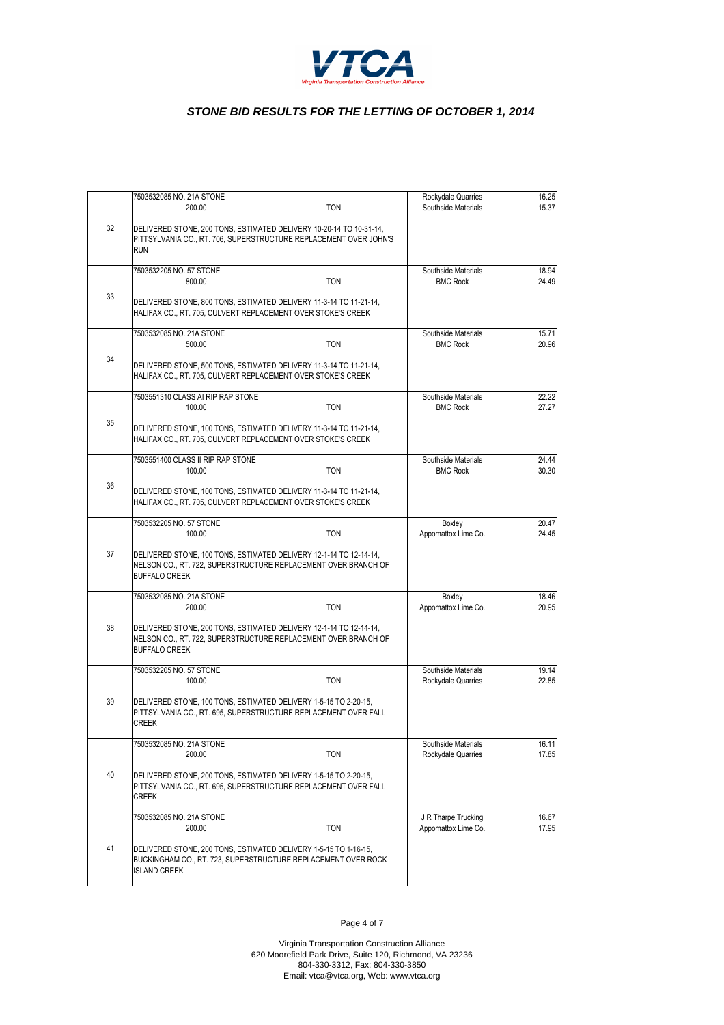

|    | 7503532085 NO. 21A STONE                                                                                                                                     |            | Rockydale Quarries                         | 16.25          |
|----|--------------------------------------------------------------------------------------------------------------------------------------------------------------|------------|--------------------------------------------|----------------|
| 32 | 200.00<br>DELIVERED STONE, 200 TONS, ESTIMATED DELIVERY 10-20-14 TO 10-31-14,                                                                                | <b>TON</b> | Southside Materials                        | 15.37          |
|    | PITTSYLVANIA CO., RT. 706, SUPERSTRUCTURE REPLACEMENT OVER JOHN'S<br><b>RUN</b>                                                                              |            |                                            |                |
|    | 7503532205 NO. 57 STONE<br>800.00                                                                                                                            | <b>TON</b> | Southside Materials<br><b>BMC Rock</b>     | 18.94<br>24.49 |
| 33 | DELIVERED STONE, 800 TONS, ESTIMATED DELIVERY 11-3-14 TO 11-21-14,<br>HALIFAX CO., RT. 705, CULVERT REPLACEMENT OVER STOKE'S CREEK                           |            |                                            |                |
|    | 7503532085 NO. 21A STONE<br>500.00                                                                                                                           | <b>TON</b> | Southside Materials<br><b>BMC Rock</b>     | 15.71<br>20.96 |
| 34 | DELIVERED STONE, 500 TONS, ESTIMATED DELIVERY 11-3-14 TO 11-21-14,<br>HALIFAX CO., RT. 705, CULVERT REPLACEMENT OVER STOKE'S CREEK                           |            |                                            |                |
|    | 7503551310 CLASS AI RIP RAP STONE<br>100.00                                                                                                                  | <b>TON</b> | Southside Materials<br><b>BMC Rock</b>     | 22.22<br>27.27 |
| 35 | DELIVERED STONE, 100 TONS, ESTIMATED DELIVERY 11-3-14 TO 11-21-14,<br>HALIFAX CO., RT. 705, CULVERT REPLACEMENT OVER STOKE'S CREEK                           |            |                                            |                |
|    | 7503551400 CLASS II RIP RAP STONE<br>100.00                                                                                                                  | <b>TON</b> | Southside Materials<br><b>BMC Rock</b>     | 24.44<br>30.30 |
| 36 | DELIVERED STONE, 100 TONS, ESTIMATED DELIVERY 11-3-14 TO 11-21-14,<br>HALIFAX CO., RT. 705, CULVERT REPLACEMENT OVER STOKE'S CREEK                           |            |                                            |                |
|    | 7503532205 NO. 57 STONE<br>100.00                                                                                                                            | <b>TON</b> | Boxley<br>Appomattox Lime Co.              | 20.47<br>24.45 |
| 37 | DELIVERED STONE, 100 TONS, ESTIMATED DELIVERY 12-1-14 TO 12-14-14,<br>NELSON CO., RT. 722, SUPERSTRUCTURE REPLACEMENT OVER BRANCH OF<br><b>BUFFALO CREEK</b> |            |                                            |                |
|    | 7503532085 NO. 21A STONE<br>200.00                                                                                                                           | <b>TON</b> | Boxley<br>Appomattox Lime Co.              | 18.46<br>20.95 |
| 38 | DELIVERED STONE, 200 TONS, ESTIMATED DELIVERY 12-1-14 TO 12-14-14,<br>NELSON CO., RT. 722, SUPERSTRUCTURE REPLACEMENT OVER BRANCH OF<br><b>BUFFALO CREEK</b> |            |                                            |                |
|    | 7503532205 NO. 57 STONE<br>100.00                                                                                                                            | <b>TON</b> | Southside Materials<br>Rockydale Quarries  | 19.14<br>22.85 |
| 39 | DELIVERED STONE, 100 TONS, ESTIMATED DELIVERY 1-5-15 TO 2-20-15,<br>PITTSYLVANIA CO., RT. 695, SUPERSTRUCTURE REPLACEMENT OVER FALL<br><b>CREEK</b>          |            |                                            |                |
|    | 7503532085 NO. 21A STONE<br>200.00                                                                                                                           | <b>TON</b> | Southside Materials<br>Rockydale Quarries  | 16.11<br>17.85 |
| 40 | DELIVERED STONE, 200 TONS, ESTIMATED DELIVERY 1-5-15 TO 2-20-15,<br>PITTSYLVANIA CO., RT. 695, SUPERSTRUCTURE REPLACEMENT OVER FALL<br>CREEK                 |            |                                            |                |
|    | 7503532085 NO. 21A STONE<br>200.00                                                                                                                           | <b>TON</b> | J R Tharpe Trucking<br>Appomattox Lime Co. | 16.67<br>17.95 |
| 41 | DELIVERED STONE, 200 TONS, ESTIMATED DELIVERY 1-5-15 TO 1-16-15,<br>BUCKINGHAM CO., RT. 723, SUPERSTRUCTURE REPLACEMENT OVER ROCK<br><b>ISLAND CREEK</b>     |            |                                            |                |
|    |                                                                                                                                                              |            |                                            |                |

Page 4 of 7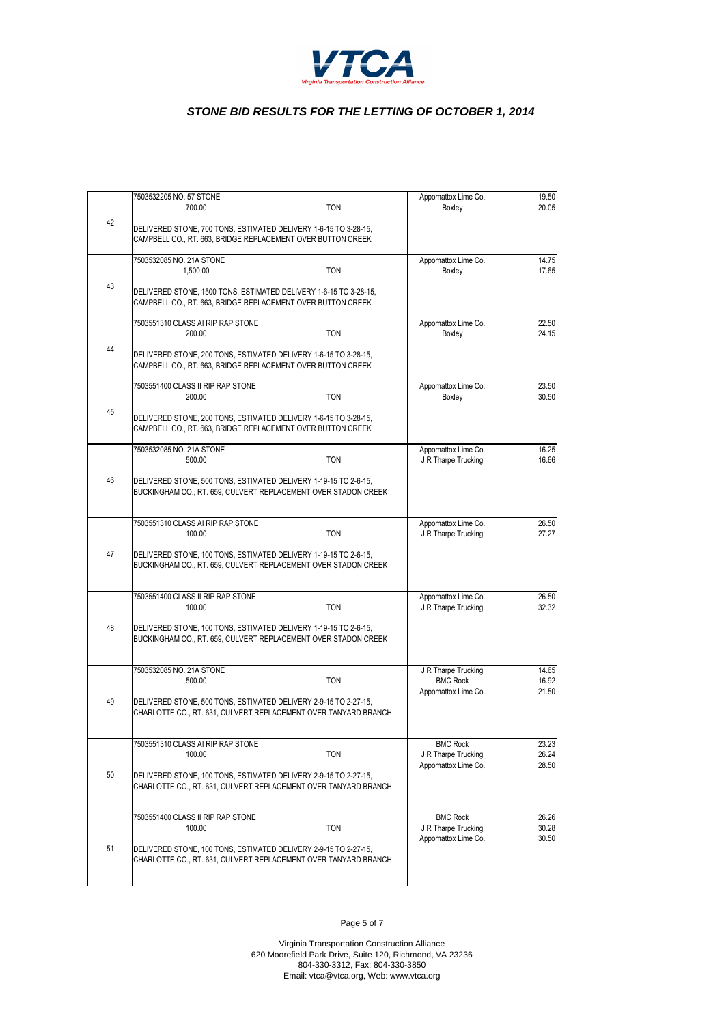

|    | 7503532205 NO. 57 STONE                                                                                                             |            | Appomattox Lime Co.                        | 19.50 |
|----|-------------------------------------------------------------------------------------------------------------------------------------|------------|--------------------------------------------|-------|
|    | 700.00                                                                                                                              | TON        | Boxley                                     | 20.05 |
| 42 | DELIVERED STONE, 700 TONS, ESTIMATED DELIVERY 1-6-15 TO 3-28-15,<br>CAMPBELL CO., RT. 663, BRIDGE REPLACEMENT OVER BUTTON CREEK     |            |                                            |       |
|    | 7503532085 NO. 21A STONE                                                                                                            |            | Appomattox Lime Co.                        | 14.75 |
|    | 1.500.00                                                                                                                            | <b>TON</b> | Boxley                                     | 17.65 |
| 43 | DELIVERED STONE, 1500 TONS, ESTIMATED DELIVERY 1-6-15 TO 3-28-15,<br>CAMPBELL CO., RT. 663, BRIDGE REPLACEMENT OVER BUTTON CREEK    |            |                                            |       |
|    | 7503551310 CLASS AI RIP RAP STONE                                                                                                   |            | Appomattox Lime Co.                        | 22.50 |
|    | 200.00                                                                                                                              | <b>TON</b> | Boxley                                     | 24.15 |
| 44 | DELIVERED STONE, 200 TONS, ESTIMATED DELIVERY 1-6-15 TO 3-28-15,<br>CAMPBELL CO., RT. 663, BRIDGE REPLACEMENT OVER BUTTON CREEK     |            |                                            |       |
|    | 7503551400 CLASS II RIP RAP STONE                                                                                                   |            | Appomattox Lime Co.                        | 23.50 |
|    | 200.00                                                                                                                              | TON        | Boxley                                     | 30.50 |
| 45 | DELIVERED STONE, 200 TONS, ESTIMATED DELIVERY 1-6-15 TO 3-28-15,<br>CAMPBELL CO., RT. 663, BRIDGE REPLACEMENT OVER BUTTON CREEK     |            |                                            |       |
|    | 7503532085 NO. 21A STONE                                                                                                            |            | Appomattox Lime Co.                        | 16.25 |
|    | 500.00                                                                                                                              | <b>TON</b> | J R Tharpe Trucking                        | 16.66 |
| 46 | DELIVERED STONE, 500 TONS, ESTIMATED DELIVERY 1-19-15 TO 2-6-15,<br>BUCKINGHAM CO., RT. 659, CULVERT REPLACEMENT OVER STADON CREEK  |            |                                            |       |
|    | 7503551310 CLASS AI RIP RAP STONE                                                                                                   |            | Appomattox Lime Co.                        | 26.50 |
|    | 100.00                                                                                                                              | <b>TON</b> | J R Tharpe Trucking                        | 27.27 |
| 47 | DELIVERED STONE, 100 TONS, ESTIMATED DELIVERY 1-19-15 TO 2-6-15,<br>BUCKINGHAM CO., RT. 659, CULVERT REPLACEMENT OVER STADON CREEK  |            |                                            |       |
|    | 7503551400 CLASS II RIP RAP STONE                                                                                                   |            |                                            | 26.50 |
|    | 100.00                                                                                                                              | <b>TON</b> | Appomattox Lime Co.<br>J R Tharpe Trucking | 32.32 |
| 48 | DELIVERED STONE, 100 TONS, ESTIMATED DELIVERY 1-19-15 TO 2-6-15,<br>BUCKINGHAM CO., RT. 659, CULVERT REPLACEMENT OVER STADON CREEK  |            |                                            |       |
|    | 7503532085 NO. 21A STONE                                                                                                            |            | J R Tharpe Trucking                        | 14.65 |
|    | 500.00                                                                                                                              | <b>TON</b> | <b>BMC Rock</b>                            | 16.92 |
| 49 | DELIVERED STONE, 500 TONS, ESTIMATED DELIVERY 2-9-15 TO 2-27-15,<br>CHARLOTTE CO., RT. 631, CULVERT REPLACEMENT OVER TANYARD BRANCH |            | Appomattox Lime Co.                        | 21.50 |
|    | 7503551310 CLASS AI RIP RAP STONE                                                                                                   |            | <b>BMC Rock</b>                            | 23.23 |
|    | 100.00                                                                                                                              | <b>TON</b> | J R Tharpe Trucking                        | 26.24 |
| 50 | DELIVERED STONE, 100 TONS, ESTIMATED DELIVERY 2-9-15 TO 2-27-15,<br>CHARLOTTE CO., RT. 631, CULVERT REPLACEMENT OVER TANYARD BRANCH |            | Appomattox Lime Co.                        | 28.50 |
|    | 7503551400 CLASS II RIP RAP STONE                                                                                                   |            | <b>BMC Rock</b>                            | 26.26 |
|    | 100.00                                                                                                                              | <b>TON</b> | J R Tharpe Trucking                        | 30.28 |
| 51 | DELIVERED STONE, 100 TONS, ESTIMATED DELIVERY 2-9-15 TO 2-27-15,<br>CHARLOTTE CO., RT. 631, CULVERT REPLACEMENT OVER TANYARD BRANCH |            | Appomattox Lime Co.                        | 30.50 |

Page 5 of 7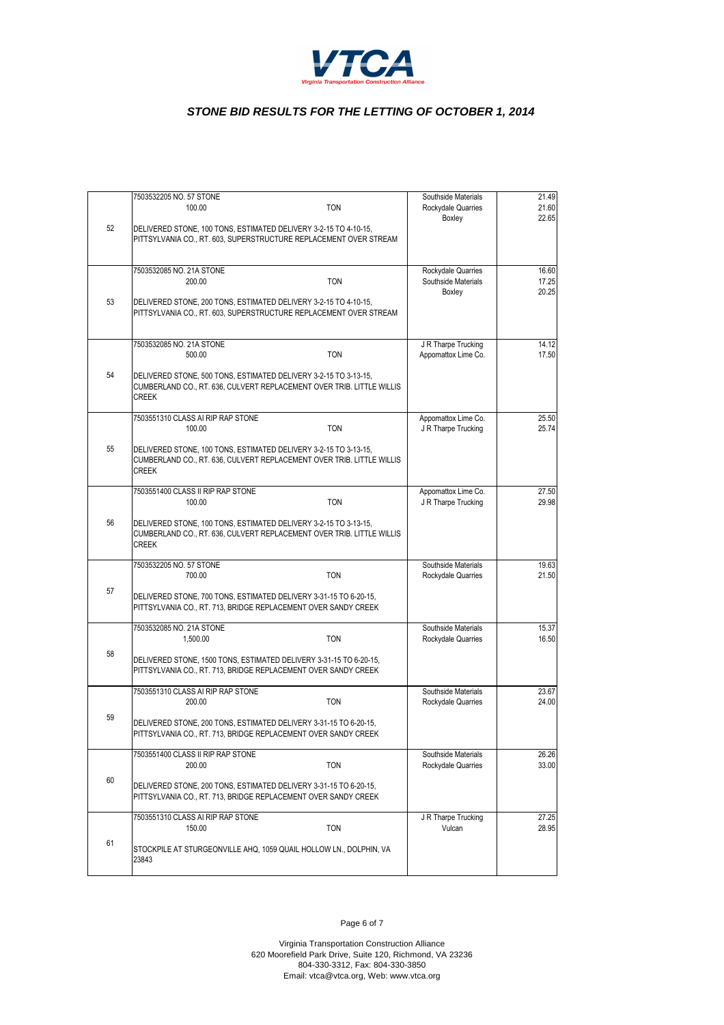

|    | 7503532205 NO. 57 STONE<br>100.00<br><b>TON</b>                                                                                                           | Southside Materials<br>Rockydale Quarries<br>Boxley | 21.49<br>21.60<br>22.65 |
|----|-----------------------------------------------------------------------------------------------------------------------------------------------------------|-----------------------------------------------------|-------------------------|
| 52 | DELIVERED STONE, 100 TONS, ESTIMATED DELIVERY 3-2-15 TO 4-10-15,<br>PITTSYLVANIA CO., RT. 603, SUPERSTRUCTURE REPLACEMENT OVER STREAM                     |                                                     |                         |
|    | 7503532085 NO. 21A STONE<br><b>TON</b><br>200.00                                                                                                          | Rockydale Quarries<br>Southside Materials<br>Boxley | 16.60<br>17.25<br>20.25 |
| 53 | DELIVERED STONE, 200 TONS, ESTIMATED DELIVERY 3-2-15 TO 4-10-15,<br>PITTSYLVANIA CO., RT. 603, SUPERSTRUCTURE REPLACEMENT OVER STREAM                     |                                                     |                         |
|    | 7503532085 NO. 21A STONE<br>500.00<br><b>TON</b>                                                                                                          | J R Tharpe Trucking<br>Appomattox Lime Co.          | 14.12<br>17.50          |
| 54 | DELIVERED STONE, 500 TONS, ESTIMATED DELIVERY 3-2-15 TO 3-13-15,<br>CUMBERLAND CO., RT. 636, CULVERT REPLACEMENT OVER TRIB. LITTLE WILLIS<br><b>CREEK</b> |                                                     |                         |
|    | 7503551310 CLASS AI RIP RAP STONE<br>100.00<br><b>TON</b>                                                                                                 | Appomattox Lime Co.<br>J R Tharpe Trucking          | 25.50<br>25.74          |
| 55 | DELIVERED STONE, 100 TONS, ESTIMATED DELIVERY 3-2-15 TO 3-13-15,<br>CUMBERLAND CO., RT. 636, CULVERT REPLACEMENT OVER TRIB. LITTLE WILLIS<br><b>CREEK</b> |                                                     |                         |
|    | 7503551400 CLASS II RIP RAP STONE<br><b>TON</b><br>100.00                                                                                                 | Appomattox Lime Co.<br>J R Tharpe Trucking          | 27.50<br>29.98          |
| 56 | DELIVERED STONE, 100 TONS, ESTIMATED DELIVERY 3-2-15 TO 3-13-15,<br>CUMBERLAND CO., RT. 636, CULVERT REPLACEMENT OVER TRIB. LITTLE WILLIS<br><b>CREEK</b> |                                                     |                         |
|    | 7503532205 NO. 57 STONE<br>700.00<br><b>TON</b>                                                                                                           | Southside Materials<br>Rockydale Quarries           | 19.63<br>21.50          |
| 57 | DELIVERED STONE, 700 TONS, ESTIMATED DELIVERY 3-31-15 TO 6-20-15,<br>PITTSYLVANIA CO., RT. 713, BRIDGE REPLACEMENT OVER SANDY CREEK                       |                                                     |                         |
|    | 7503532085 NO. 21A STONE<br>1,500.00<br><b>TON</b>                                                                                                        | Southside Materials<br>Rockydale Quarries           | 15.37<br>16.50          |
| 58 | DELIVERED STONE, 1500 TONS, ESTIMATED DELIVERY 3-31-15 TO 6-20-15,<br>PITTSYLVANIA CO., RT. 713, BRIDGE REPLACEMENT OVER SANDY CREEK                      |                                                     |                         |
|    | 7503551310 CLASS AI RIP RAP STONE<br><b>TON</b><br>200.00                                                                                                 | Southside Materials<br>Rockydale Quarries           | 23.67<br>24.00          |
| 59 | DELIVERED STONE, 200 TONS, ESTIMATED DELIVERY 3-31-15 TO 6-20-15,<br>PITTSYLVANIA CO., RT. 713, BRIDGE REPLACEMENT OVER SANDY CREEK                       |                                                     |                         |
|    | 7503551400 CLASS II RIP RAP STONE<br>200.00<br><b>TON</b>                                                                                                 | Southside Materials<br>Rockydale Quarries           | 26.26<br>33.00          |
| 60 | DELIVERED STONE, 200 TONS, ESTIMATED DELIVERY 3-31-15 TO 6-20-15,<br>PITTSYLVANIA CO., RT. 713, BRIDGE REPLACEMENT OVER SANDY CREEK                       |                                                     |                         |
|    | 7503551310 CLASS AI RIP RAP STONE<br>150.00<br><b>TON</b>                                                                                                 | J R Tharpe Trucking<br>Vulcan                       | 27.25<br>28.95          |
| 61 | STOCKPILE AT STURGEONVILLE AHQ, 1059 QUAIL HOLLOW LN., DOLPHIN, VA<br>23843                                                                               |                                                     |                         |

Page 6 of 7